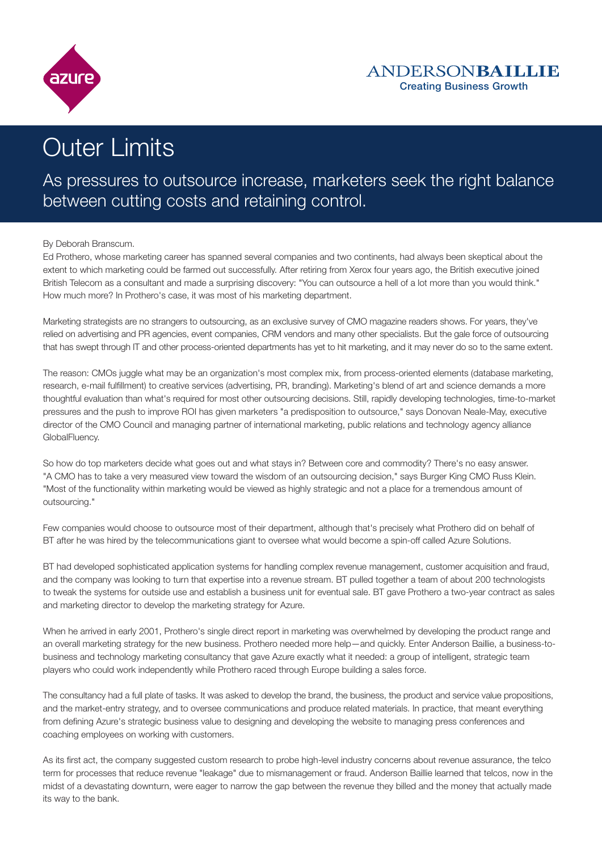

# Outer Limits

# As pressures to outsource increase, marketers seek the right balance between cutting costs and retaining control.

#### By Deborah Branscum.

Ed Prothero, whose marketing career has spanned several companies and two continents, had always been skeptical about the extent to which marketing could be farmed out successfully. After retiring from Xerox four years ago, the British executive joined British Telecom as a consultant and made a surprising discovery: "You can outsource a hell of a lot more than you would think." How much more? In Prothero's case, it was most of his marketing department.

Marketing strategists are no strangers to outsourcing, as an exclusive survey of CMO magazine readers shows. For years, they've relied on advertising and PR agencies, event companies, CRM vendors and many other specialists. But the gale force of outsourcing that has swept through IT and other process-oriented departments has yet to hit marketing, and it may never do so to the same extent.

The reason: CMOs juggle what may be an organization's most complex mix, from process-oriented elements (database marketing, research, e-mail fulfillment) to creative services (advertising, PR, branding). Marketing's blend of art and science demands a more thoughtful evaluation than what's required for most other outsourcing decisions. Still, rapidly developing technologies, time-to-market pressures and the push to improve ROI has given marketers "a predisposition to outsource," says Donovan Neale-May, executive director of the CMO Council and managing partner of international marketing, public relations and technology agency alliance GlobalFluency.

So how do top marketers decide what goes out and what stays in? Between core and commodity? There's no easy answer. "A CMO has to take a very measured view toward the wisdom of an outsourcing decision," says Burger King CMO Russ Klein. "Most of the functionality within marketing would be viewed as highly strategic and not a place for a tremendous amount of outsourcing."

Few companies would choose to outsource most of their department, although that's precisely what Prothero did on behalf of BT after he was hired by the telecommunications giant to oversee what would become a spin-off called Azure Solutions.

BT had developed sophisticated application systems for handling complex revenue management, customer acquisition and fraud, and the company was looking to turn that expertise into a revenue stream. BT pulled together a team of about 200 technologists to tweak the systems for outside use and establish a business unit for eventual sale. BT gave Prothero a two-year contract as sales and marketing director to develop the marketing strategy for Azure.

When he arrived in early 2001, Prothero's single direct report in marketing was overwhelmed by developing the product range and an overall marketing strategy for the new business. Prothero needed more help—and quickly. Enter Anderson Baillie, a business-tobusiness and technology marketing consultancy that gave Azure exactly what it needed: a group of intelligent, strategic team players who could work independently while Prothero raced through Europe building a sales force.

The consultancy had a full plate of tasks. It was asked to develop the brand, the business, the product and service value propositions, and the market-entry strategy, and to oversee communications and produce related materials. In practice, that meant everything from defining Azure's strategic business value to designing and developing the website to managing press conferences and coaching employees on working with customers.

As its first act, the company suggested custom research to probe high-level industry concerns about revenue assurance, the telco term for processes that reduce revenue "leakage" due to mismanagement or fraud. Anderson Baillie learned that telcos, now in the midst of a devastating downturn, were eager to narrow the gap between the revenue they billed and the money that actually made its way to the bank.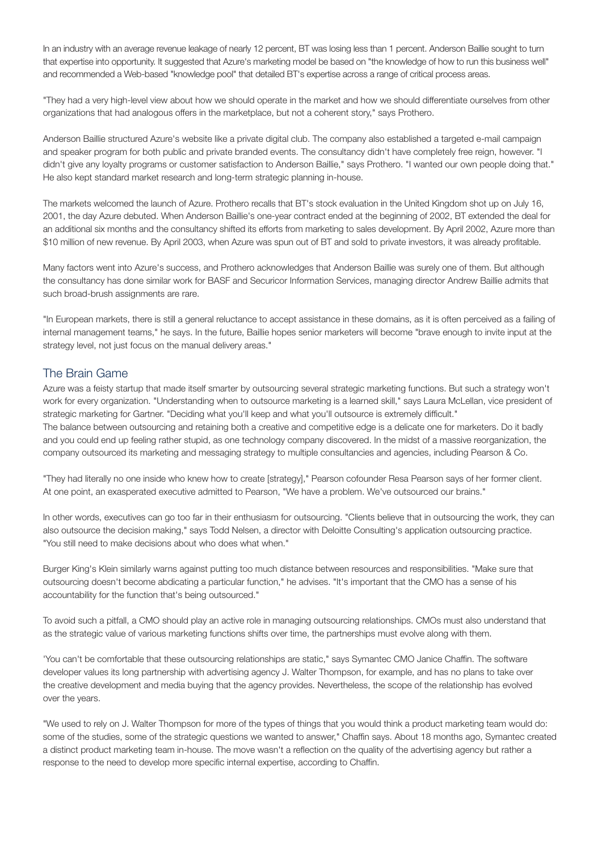In an industry with an average revenue leakage of nearly 12 percent, BT was losing less than 1 percent. Anderson Baillie sought to turn that expertise into opportunity. It suggested that Azure's marketing model be based on "the knowledge of how to run this business well" and recommended a Web-based "knowledge pool" that detailed BT's expertise across a range of critical process areas.

"They had a very high-level view about how we should operate in the market and how we should differentiate ourselves from other organizations that had analogous offers in the marketplace, but not a coherent story," says Prothero.

Anderson Baillie structured Azure's website like a private digital club. The company also established a targeted e-mail campaign and speaker program for both public and private branded events. The consultancy didn't have completely free reign, however. "I didn't give any loyalty programs or customer satisfaction to Anderson Baillie," says Prothero. "I wanted our own people doing that." He also kept standard market research and long-term strategic planning in-house.

The markets welcomed the launch of Azure. Prothero recalls that BT's stock evaluation in the United Kingdom shot up on July 16, 2001, the day Azure debuted. When Anderson Baillie's one-year contract ended at the beginning of 2002, BT extended the deal for an additional six months and the consultancy shifted its efforts from marketing to sales development. By April 2002, Azure more than \$10 million of new revenue. By April 2003, when Azure was spun out of BT and sold to private investors, it was already profitable.

Many factors went into Azure's success, and Prothero acknowledges that Anderson Baillie was surely one of them. But although the consultancy has done similar work for BASF and Securicor Information Services, managing director Andrew Baillie admits that such broad-brush assignments are rare.

"In European markets, there is still a general reluctance to accept assistance in these domains, as it is often perceived as a failing of internal management teams," he says. In the future, Baillie hopes senior marketers will become "brave enough to invite input at the strategy level, not just focus on the manual delivery areas."

## The Brain Game

Azure was a feisty startup that made itself smarter by outsourcing several strategic marketing functions. But such a strategy won't work for every organization. "Understanding when to outsource marketing is a learned skill," says Laura McLellan, vice president of strategic marketing for Gartner. "Deciding what you'll keep and what you'll outsource is extremely difficult." The balance between outsourcing and retaining both a creative and competitive edge is a delicate one for marketers. Do it badly and you could end up feeling rather stupid, as one technology company discovered. In the midst of a massive reorganization, the company outsourced its marketing and messaging strategy to multiple consultancies and agencies, including Pearson & Co.

"They had literally no one inside who knew how to create [strategy]," Pearson cofounder Resa Pearson says of her former client. At one point, an exasperated executive admitted to Pearson, "We have a problem. We've outsourced our brains."

In other words, executives can go too far in their enthusiasm for outsourcing. "Clients believe that in outsourcing the work, they can also outsource the decision making," says Todd Nelsen, a director with Deloitte Consulting's application outsourcing practice. "You still need to make decisions about who does what when."

Burger King's Klein similarly warns against putting too much distance between resources and responsibilities. "Make sure that outsourcing doesn't become abdicating a particular function," he advises. "It's important that the CMO has a sense of his accountability for the function that's being outsourced."

To avoid such a pitfall, a CMO should play an active role in managing outsourcing relationships. CMOs must also understand that as the strategic value of various marketing functions shifts over time, the partnerships must evolve along with them.

'You can't be comfortable that these outsourcing relationships are static," says Symantec CMO Janice Chaffin. The software developer values its long partnership with advertising agency J. Walter Thompson, for example, and has no plans to take over the creative development and media buying that the agency provides. Nevertheless, the scope of the relationship has evolved over the years.

"We used to rely on J. Walter Thompson for more of the types of things that you would think a product marketing team would do: some of the studies, some of the strategic questions we wanted to answer," Chaffin says. About 18 months ago, Symantec created a distinct product marketing team in-house. The move wasn't a reflection on the quality of the advertising agency but rather a response to the need to develop more specific internal expertise, according to Chaffin.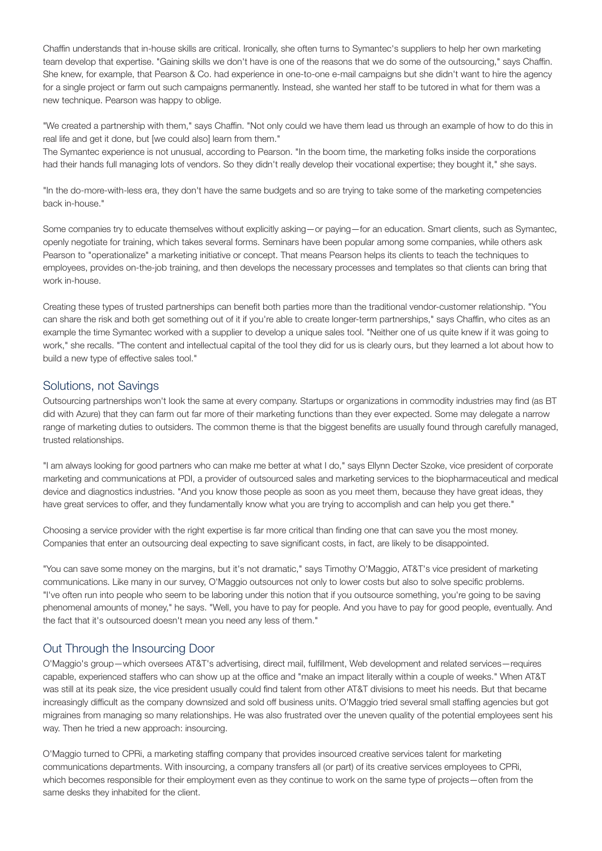Chaffin understands that in-house skills are critical. Ironically, she often turns to Symantec's suppliers to help her own marketing team develop that expertise. "Gaining skills we don't have is one of the reasons that we do some of the outsourcing," says Chaffin. She knew, for example, that Pearson & Co. had experience in one-to-one e-mail campaigns but she didn't want to hire the agency for a single project or farm out such campaigns permanently. Instead, she wanted her staff to be tutored in what for them was a new technique. Pearson was happy to oblige.

"We created a partnership with them," says Chaffin. "Not only could we have them lead us through an example of how to do this in real life and get it done, but [we could also] learn from them."

The Symantec experience is not unusual, according to Pearson. "In the boom time, the marketing folks inside the corporations had their hands full managing lots of vendors. So they didn't really develop their vocational expertise; they bought it," she says.

"In the do-more-with-less era, they don't have the same budgets and so are trying to take some of the marketing competencies back in-house."

Some companies try to educate themselves without explicitly asking—or paying—for an education. Smart clients, such as Symantec, openly negotiate for training, which takes several forms. Seminars have been popular among some companies, while others ask Pearson to "operationalize" a marketing initiative or concept. That means Pearson helps its clients to teach the techniques to employees, provides on-the-job training, and then develops the necessary processes and templates so that clients can bring that work in-house.

Creating these types of trusted partnerships can benefit both parties more than the traditional vendor-customer relationship. "You can share the risk and both get something out of it if you're able to create longer-term partnerships," says Chaffin, who cites as an example the time Symantec worked with a supplier to develop a unique sales tool. "Neither one of us quite knew if it was going to work," she recalls. "The content and intellectual capital of the tool they did for us is clearly ours, but they learned a lot about how to build a new type of effective sales tool."

#### Solutions, not Savings

Outsourcing partnerships won't look the same at every company. Startups or organizations in commodity industries may find (as BT did with Azure) that they can farm out far more of their marketing functions than they ever expected. Some may delegate a narrow range of marketing duties to outsiders. The common theme is that the biggest benefits are usually found through carefully managed, trusted relationships.

"I am always looking for good partners who can make me better at what I do," says Ellynn Decter Szoke, vice president of corporate marketing and communications at PDI, a provider of outsourced sales and marketing services to the biopharmaceutical and medical device and diagnostics industries. "And you know those people as soon as you meet them, because they have great ideas, they have great services to offer, and they fundamentally know what you are trying to accomplish and can help you get there."

Choosing a service provider with the right expertise is far more critical than finding one that can save you the most money. Companies that enter an outsourcing deal expecting to save significant costs, in fact, are likely to be disappointed.

"You can save some money on the margins, but it's not dramatic," says Timothy O'Maggio, AT&T's vice president of marketing communications. Like many in our survey, O'Maggio outsources not only to lower costs but also to solve specific problems. "I've often run into people who seem to be laboring under this notion that if you outsource something, you're going to be saving phenomenal amounts of money," he says. "Well, you have to pay for people. And you have to pay for good people, eventually. And the fact that it's outsourced doesn't mean you need any less of them."

## Out Through the Insourcing Door

O'Maggio's group—which oversees AT&T's advertising, direct mail, fulfillment, Web development and related services—requires capable, experienced staffers who can show up at the office and "make an impact literally within a couple of weeks." When AT&T was still at its peak size, the vice president usually could find talent from other AT&T divisions to meet his needs. But that became increasingly difficult as the company downsized and sold off business units. O'Maggio tried several small staffing agencies but got migraines from managing so many relationships. He was also frustrated over the uneven quality of the potential employees sent his way. Then he tried a new approach: insourcing.

O'Maggio turned to CPRi, a marketing staffing company that provides insourced creative services talent for marketing communications departments. With insourcing, a company transfers all (or part) of its creative services employees to CPRi, which becomes responsible for their employment even as they continue to work on the same type of projects—often from the same desks they inhabited for the client.